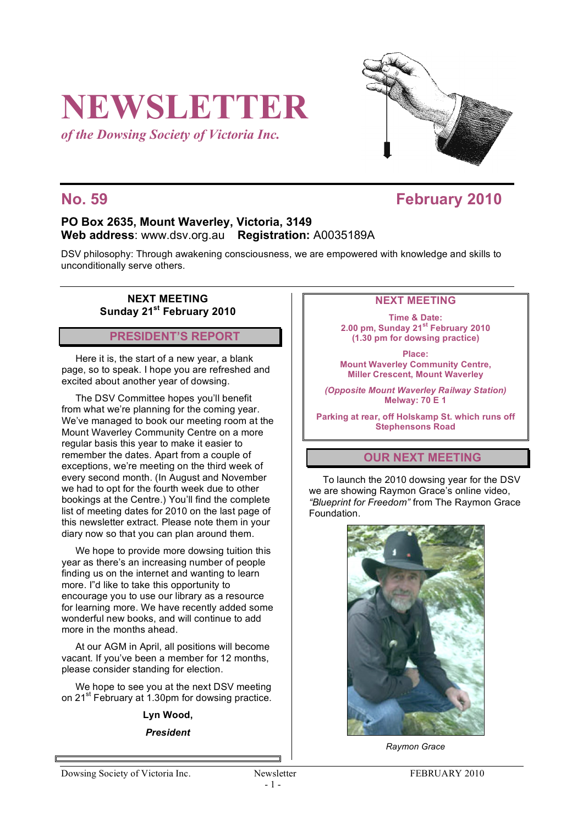# **NEWSLETTER**

*of the Dowsing Society of Victoria Inc.*



### **No. 59 February 2010**

#### **PO Box 2635, Mount Waverley, Victoria, 3149 Web address**: www.dsv.org.au **Registration:** A0035189A

DSV philosophy: Through awakening consciousness, we are empowered with knowledge and skills to unconditionally serve others.

#### **NEXT MEETING Sunday 21st February 2010**

**PRESIDENT'S REPORT**

Here it is, the start of a new year, a blank page, so to speak. I hope you are refreshed and excited about another year of dowsing.

The DSV Committee hopes you'll benefit from what we're planning for the coming year. We've managed to book our meeting room at the Mount Waverley Community Centre on a more regular basis this year to make it easier to remember the dates. Apart from a couple of exceptions, we're meeting on the third week of every second month. (In August and November we had to opt for the fourth week due to other bookings at the Centre.) You'll find the complete list of meeting dates for 2010 on the last page of this newsletter extract. Please note them in your diary now so that you can plan around them.

We hope to provide more dowsing tuition this year as there's an increasing number of people finding us on the internet and wanting to learn more. I"d like to take this opportunity to encourage you to use our library as a resource for learning more. We have recently added some wonderful new books, and will continue to add more in the months ahead.

At our AGM in April, all positions will become vacant. If you've been a member for 12 months, please consider standing for election.

We hope to see you at the next DSV meeting on 21<sup>st</sup> February at 1.30pm for dowsing practice.

#### **Lyn Wood,**

*President*

#### **NEXT MEETING**

**Time & Date: 2.00 pm, Sunday 21st February 2010 (1.30 pm for dowsing practice)**

**Place: Mount Waverley Community Centre, Miller Crescent, Mount Waverley**

*(Opposite Mount Waverley Railway Station)* **Melway: 70 E 1**

**Parking at rear, off Holskamp St. which runs off Stephensons Road**

#### **OUR NEXT MEETING**

To launch the 2010 dowsing year for the DSV we are showing Raymon Grace's online video, *"Blueprint for Freedom"* from The Raymon Grace Foundation.



*Raymon Grace*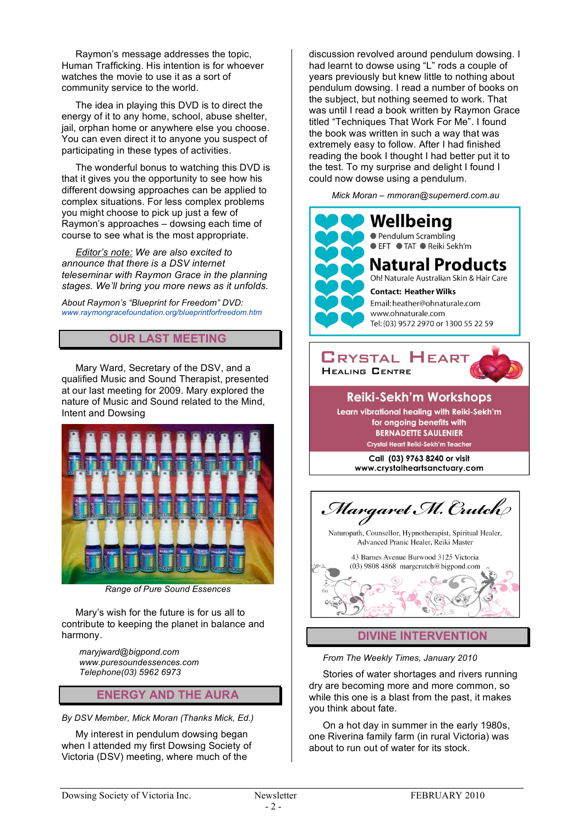Raymon's message addresses the topic, Human Trafficking. His intention is for whoever watches the movie to use it as a sort of community service to the world.

The idea in playing this DVD is to direct the energy of it to any home, school, abuse shelter, jail, orphan home or anywhere else you choose. You can even direct it to anyone you suspect of participating in these types of activities.

The wonderful bonus to watching this DVD is that it gives you the opportunity to see how his different dowsing approaches can be applied to complex situations. For less complex problems you might choose to pick up just a few of Raymon's approaches – dowsing each time of course to see what is the most appropriate.

*Editor's note: We are also excited to announce that there is a DSV internet teleseminar with Raymon Grace in the planning stages. We'll bring you more news as it unfolds.*

*About Raymon's "Blueprint for Freedom" DVD: www.raymongracefoundation.org/blueprintforfreedom.htm*

#### **OUR LAST MEETING**

Mary Ward, Secretary of the DSV, and a qualified Music and Sound Therapist, presented at our last meeting for 2009. Mary explored the nature of Music and Sound related to the Mind, Intent and Dowsing



*Range of Pure Sound Essences*

Mary's wish for the future is for us all to contribute to keeping the planet in balance and harmony.

*maryjward@bigpond.com www.puresoundessences.com Telephone(03) 5962 6973*

#### **ENERGY AND THE AURA**

*By DSV Member, Mick Moran (Thanks Mick, Ed.)*

My interest in pendulum dowsing began when I attended my first Dowsing Society of Victoria (DSV) meeting, where much of the

discussion revolved around pendulum dowsing. I had learnt to dowse using "L" rods a couple of years previously but knew little to nothing about pendulum dowsing. I read a number of books on the subject, but nothing seemed to work. That was until I read a book written by Raymon Grace titled "Techniques That Work For Me". I found the book was written in such a way that was extremely easy to follow. After I had finished reading the book I thought I had better put it to the test. To my surprise and delight I found I could now dowse using a pendulum.

*Mick Moran – mmoran@supernerd.com.au*



#### **Reiki-Sekh'm Workshops**

Learn vibrational healing with Reiki-Sekh'm for ongoing benefits with **BERNADETTE SAULENIER** Crystal Heart Reiki-Sekh'm Teacher

> Call (03) 9763 8240 or visit www.crystalheartsanctuary.com

Margaret M. Crutch Naturopath, Counsellor, Hypnotherapist, Spiritual Healer, Advanced Pranic Healer, Reiki Master 43 Barnes Avenue Burwood 3125 Victoria (03) 9808 4868 margerutch@bigpond.com **DIVINE INTERVENTION**

#### *From The Weekly Times, January 2010*

Stories of water shortages and rivers running dry are becoming more and more common, so while this one is a blast from the past, it makes you think about fate.

On a hot day in summer in the early 1980s, one Riverina family farm (in rural Victoria) was about to run out of water for its stock.